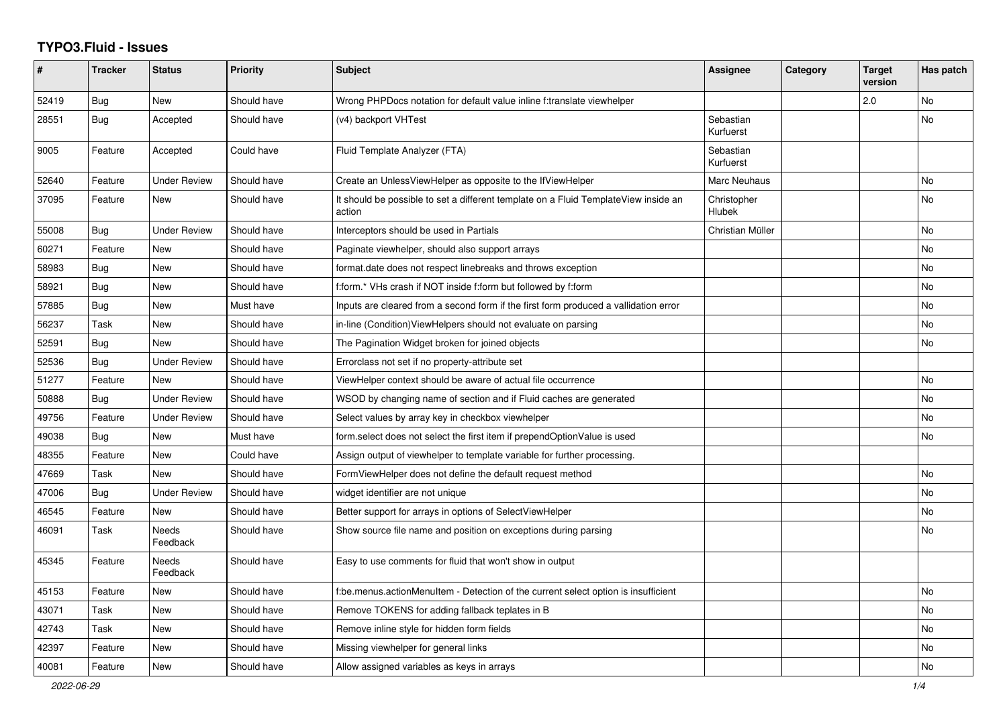## **TYPO3.Fluid - Issues**

| #     | <b>Tracker</b> | <b>Status</b>       | <b>Priority</b> | <b>Subject</b>                                                                                | Assignee                     | Category | <b>Target</b><br>version | Has patch      |
|-------|----------------|---------------------|-----------------|-----------------------------------------------------------------------------------------------|------------------------------|----------|--------------------------|----------------|
| 52419 | Bug            | New                 | Should have     | Wrong PHPDocs notation for default value inline f:translate viewhelper                        |                              |          | 2.0                      | No             |
| 28551 | Bug            | Accepted            | Should have     | (v4) backport VHTest                                                                          | Sebastian<br>Kurfuerst       |          |                          | No             |
| 9005  | Feature        | Accepted            | Could have      | Fluid Template Analyzer (FTA)                                                                 | Sebastian<br>Kurfuerst       |          |                          |                |
| 52640 | Feature        | <b>Under Review</b> | Should have     | Create an UnlessViewHelper as opposite to the IfViewHelper                                    | Marc Neuhaus                 |          |                          | No             |
| 37095 | Feature        | <b>New</b>          | Should have     | It should be possible to set a different template on a Fluid TemplateView inside an<br>action | Christopher<br><b>Hlubek</b> |          |                          | No             |
| 55008 | Bug            | <b>Under Review</b> | Should have     | Interceptors should be used in Partials                                                       | Christian Müller             |          |                          | <b>No</b>      |
| 60271 | Feature        | New                 | Should have     | Paginate viewhelper, should also support arrays                                               |                              |          |                          | No             |
| 58983 | Bug            | New                 | Should have     | format date does not respect linebreaks and throws exception                                  |                              |          |                          | No             |
| 58921 | Bug            | New                 | Should have     | f:form.* VHs crash if NOT inside f:form but followed by f:form                                |                              |          |                          | <b>No</b>      |
| 57885 | <b>Bug</b>     | New                 | Must have       | Inputs are cleared from a second form if the first form produced a vallidation error          |                              |          |                          | No             |
| 56237 | Task           | New                 | Should have     | in-line (Condition) View Helpers should not evaluate on parsing                               |                              |          |                          | <b>No</b>      |
| 52591 | <b>Bug</b>     | New                 | Should have     | The Pagination Widget broken for joined objects                                               |                              |          |                          | No             |
| 52536 | Bug            | <b>Under Review</b> | Should have     | Errorclass not set if no property-attribute set                                               |                              |          |                          |                |
| 51277 | Feature        | <b>New</b>          | Should have     | ViewHelper context should be aware of actual file occurrence                                  |                              |          |                          | <b>No</b>      |
| 50888 | Bug            | Under Review        | Should have     | WSOD by changing name of section and if Fluid caches are generated                            |                              |          |                          | <b>No</b>      |
| 49756 | Feature        | <b>Under Review</b> | Should have     | Select values by array key in checkbox viewhelper                                             |                              |          |                          | <b>No</b>      |
| 49038 | Bug            | <b>New</b>          | Must have       | form.select does not select the first item if prependOptionValue is used                      |                              |          |                          | <b>No</b>      |
| 48355 | Feature        | New                 | Could have      | Assign output of viewhelper to template variable for further processing.                      |                              |          |                          |                |
| 47669 | Task           | New                 | Should have     | FormViewHelper does not define the default request method                                     |                              |          |                          | No             |
| 47006 | Bug            | <b>Under Review</b> | Should have     | widget identifier are not unique                                                              |                              |          |                          | <b>No</b>      |
| 46545 | Feature        | <b>New</b>          | Should have     | Better support for arrays in options of SelectViewHelper                                      |                              |          |                          | <b>No</b>      |
| 46091 | Task           | Needs<br>Feedback   | Should have     | Show source file name and position on exceptions during parsing                               |                              |          |                          | N <sub>o</sub> |
| 45345 | Feature        | Needs<br>Feedback   | Should have     | Easy to use comments for fluid that won't show in output                                      |                              |          |                          |                |
| 45153 | Feature        | New                 | Should have     | f:be.menus.actionMenuItem - Detection of the current select option is insufficient            |                              |          |                          | <b>No</b>      |
| 43071 | Task           | New                 | Should have     | Remove TOKENS for adding fallback teplates in B                                               |                              |          |                          | No             |
| 42743 | Task           | New                 | Should have     | Remove inline style for hidden form fields                                                    |                              |          |                          | No             |
| 42397 | Feature        | New                 | Should have     | Missing viewhelper for general links                                                          |                              |          |                          | No             |
| 40081 | Feature        | <b>New</b>          | Should have     | Allow assigned variables as keys in arrays                                                    |                              |          |                          | <b>No</b>      |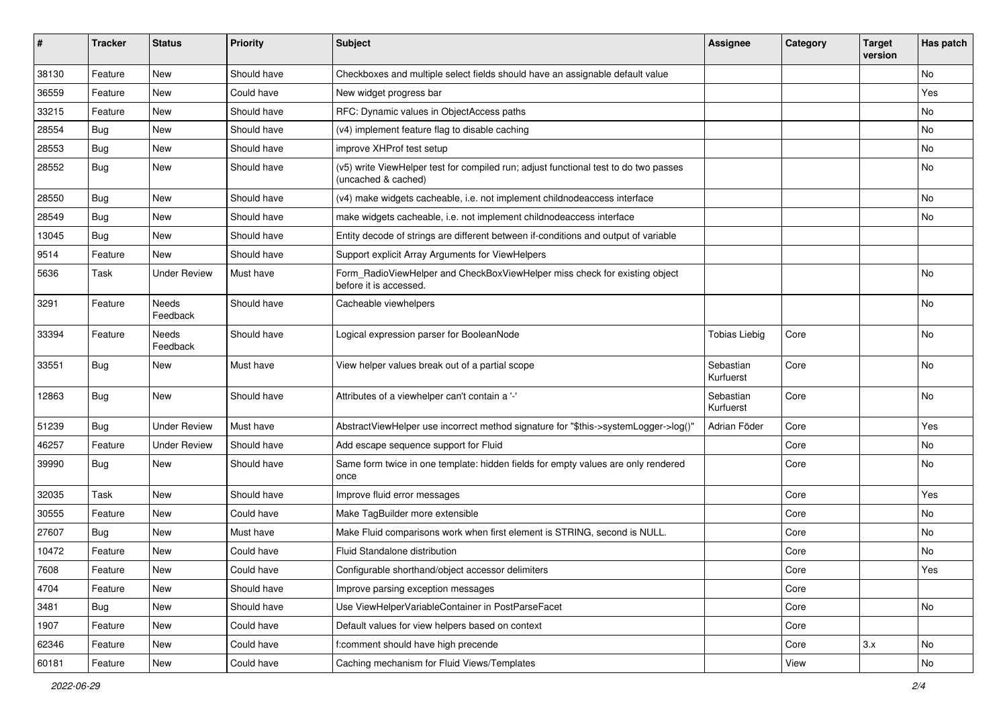| ∦     | <b>Tracker</b> | <b>Status</b>            | <b>Priority</b> | Subject                                                                                                     | <b>Assignee</b>        | Category | <b>Target</b><br>version | Has patch |
|-------|----------------|--------------------------|-----------------|-------------------------------------------------------------------------------------------------------------|------------------------|----------|--------------------------|-----------|
| 38130 | Feature        | New                      | Should have     | Checkboxes and multiple select fields should have an assignable default value                               |                        |          |                          | No        |
| 36559 | Feature        | New                      | Could have      | New widget progress bar                                                                                     |                        |          |                          | Yes       |
| 33215 | Feature        | New                      | Should have     | RFC: Dynamic values in ObjectAccess paths                                                                   |                        |          |                          | No        |
| 28554 | Bug            | New                      | Should have     | (v4) implement feature flag to disable caching                                                              |                        |          |                          | No        |
| 28553 | Bug            | New                      | Should have     | improve XHProf test setup                                                                                   |                        |          |                          | No        |
| 28552 | Bug            | New                      | Should have     | (v5) write ViewHelper test for compiled run; adjust functional test to do two passes<br>(uncached & cached) |                        |          |                          | No        |
| 28550 | <b>Bug</b>     | New                      | Should have     | (v4) make widgets cacheable, i.e. not implement childnodeaccess interface                                   |                        |          |                          | No        |
| 28549 | Bug            | <b>New</b>               | Should have     | make widgets cacheable, i.e. not implement childnodeaccess interface                                        |                        |          |                          | No        |
| 13045 | <b>Bug</b>     | New                      | Should have     | Entity decode of strings are different between if-conditions and output of variable                         |                        |          |                          |           |
| 9514  | Feature        | New                      | Should have     | Support explicit Array Arguments for ViewHelpers                                                            |                        |          |                          |           |
| 5636  | Task           | Under Review             | Must have       | Form_RadioViewHelper and CheckBoxViewHelper miss check for existing object<br>before it is accessed.        |                        |          |                          | No        |
| 3291  | Feature        | <b>Needs</b><br>Feedback | Should have     | Cacheable viewhelpers                                                                                       |                        |          |                          | No        |
| 33394 | Feature        | Needs<br>Feedback        | Should have     | Logical expression parser for BooleanNode                                                                   | Tobias Liebig          | Core     |                          | No        |
| 33551 | Bug            | New                      | Must have       | View helper values break out of a partial scope                                                             | Sebastian<br>Kurfuerst | Core     |                          | No        |
| 12863 | Bug            | New                      | Should have     | Attributes of a viewhelper can't contain a '-'                                                              | Sebastian<br>Kurfuerst | Core     |                          | No        |
| 51239 | <b>Bug</b>     | <b>Under Review</b>      | Must have       | AbstractViewHelper use incorrect method signature for "\$this->systemLogger->log()"                         | Adrian Föder           | Core     |                          | Yes       |
| 46257 | Feature        | <b>Under Review</b>      | Should have     | Add escape sequence support for Fluid                                                                       |                        | Core     |                          | No        |
| 39990 | <b>Bug</b>     | New                      | Should have     | Same form twice in one template: hidden fields for empty values are only rendered<br>once                   |                        | Core     |                          | No        |
| 32035 | Task           | New                      | Should have     | Improve fluid error messages                                                                                |                        | Core     |                          | Yes       |
| 30555 | Feature        | New                      | Could have      | Make TagBuilder more extensible                                                                             |                        | Core     |                          | No        |
| 27607 | Bug            | New                      | Must have       | Make Fluid comparisons work when first element is STRING, second is NULL.                                   |                        | Core     |                          | No        |
| 10472 | Feature        | New                      | Could have      | Fluid Standalone distribution                                                                               |                        | Core     |                          | No        |
| 7608  | Feature        | New                      | Could have      | Configurable shorthand/object accessor delimiters                                                           |                        | Core     |                          | Yes       |
| 4704  | Feature        | New                      | Should have     | Improve parsing exception messages                                                                          |                        | Core     |                          |           |
| 3481  | Bug            | New                      | Should have     | Use ViewHelperVariableContainer in PostParseFacet                                                           |                        | Core     |                          | No        |
| 1907  | Feature        | New                      | Could have      | Default values for view helpers based on context                                                            |                        | Core     |                          |           |
| 62346 | Feature        | New                      | Could have      | f:comment should have high precende                                                                         |                        | Core     | 3.x                      | No        |
| 60181 | Feature        | New                      | Could have      | Caching mechanism for Fluid Views/Templates                                                                 |                        | View     |                          | No        |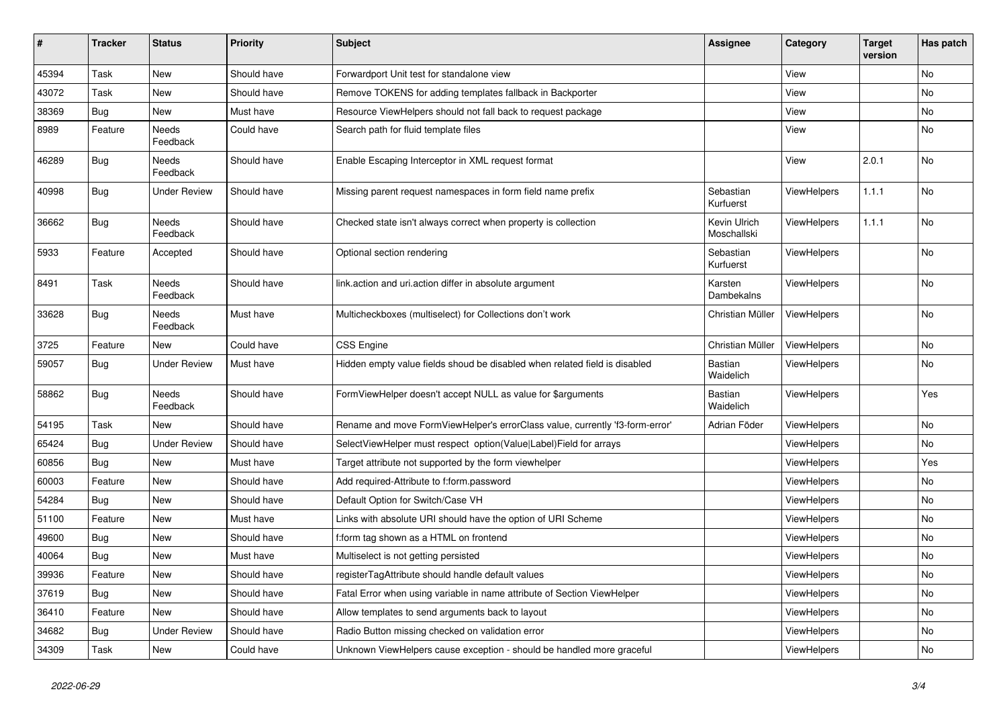| #     | <b>Tracker</b> | <b>Status</b>            | <b>Priority</b> | <b>Subject</b>                                                               | <b>Assignee</b>             | Category           | <b>Target</b><br>version | Has patch |
|-------|----------------|--------------------------|-----------------|------------------------------------------------------------------------------|-----------------------------|--------------------|--------------------------|-----------|
| 45394 | Task           | New                      | Should have     | Forwardport Unit test for standalone view                                    |                             | View               |                          | No        |
| 43072 | Task           | New                      | Should have     | Remove TOKENS for adding templates fallback in Backporter                    |                             | View               |                          | No        |
| 38369 | Bug            | New                      | Must have       | Resource ViewHelpers should not fall back to request package                 |                             | View               |                          | <b>No</b> |
| 8989  | Feature        | <b>Needs</b><br>Feedback | Could have      | Search path for fluid template files                                         |                             | View               |                          | <b>No</b> |
| 46289 | Bug            | Needs<br>Feedback        | Should have     | Enable Escaping Interceptor in XML request format                            |                             | View               | 2.0.1                    | No        |
| 40998 | <b>Bug</b>     | <b>Under Review</b>      | Should have     | Missing parent request namespaces in form field name prefix                  | Sebastian<br>Kurfuerst      | ViewHelpers        | 1.1.1                    | No        |
| 36662 | <b>Bug</b>     | Needs<br>Feedback        | Should have     | Checked state isn't always correct when property is collection               | Kevin Ulrich<br>Moschallski | <b>ViewHelpers</b> | 1.1.1                    | <b>No</b> |
| 5933  | Feature        | Accepted                 | Should have     | Optional section rendering                                                   | Sebastian<br>Kurfuerst      | <b>ViewHelpers</b> |                          | No        |
| 8491  | Task           | Needs<br>Feedback        | Should have     | link.action and uri.action differ in absolute argument                       | Karsten<br>Dambekalns       | ViewHelpers        |                          | No        |
| 33628 | <b>Bug</b>     | Needs<br>Feedback        | Must have       | Multicheckboxes (multiselect) for Collections don't work                     | Christian Müller            | ViewHelpers        |                          | <b>No</b> |
| 3725  | Feature        | New                      | Could have      | <b>CSS Engine</b>                                                            | Christian Müller            | ViewHelpers        |                          | No        |
| 59057 | Bug            | <b>Under Review</b>      | Must have       | Hidden empty value fields shoud be disabled when related field is disabled   | Bastian<br>Waidelich        | ViewHelpers        |                          | No        |
| 58862 | Bug            | Needs<br>Feedback        | Should have     | FormViewHelper doesn't accept NULL as value for \$arguments                  | Bastian<br>Waidelich        | ViewHelpers        |                          | Yes       |
| 54195 | Task           | New                      | Should have     | Rename and move FormViewHelper's errorClass value, currently 'f3-form-error' | Adrian Föder                | <b>ViewHelpers</b> |                          | <b>No</b> |
| 65424 | <b>Bug</b>     | Under Review             | Should have     | SelectViewHelper must respect option(Value Label)Field for arrays            |                             | <b>ViewHelpers</b> |                          | <b>No</b> |
| 60856 | Bug            | <b>New</b>               | Must have       | Target attribute not supported by the form viewhelper                        |                             | ViewHelpers        |                          | Yes       |
| 60003 | Feature        | New                      | Should have     | Add required-Attribute to f:form.password                                    |                             | ViewHelpers        |                          | No        |
| 54284 | <b>Bug</b>     | New                      | Should have     | Default Option for Switch/Case VH                                            |                             | ViewHelpers        |                          | No        |
| 51100 | Feature        | New                      | Must have       | Links with absolute URI should have the option of URI Scheme                 |                             | <b>ViewHelpers</b> |                          | No        |
| 49600 | Bug            | New                      | Should have     | f:form tag shown as a HTML on frontend                                       |                             | ViewHelpers        |                          | No        |
| 40064 | <b>Bug</b>     | <b>New</b>               | Must have       | Multiselect is not getting persisted                                         |                             | ViewHelpers        |                          | <b>No</b> |
| 39936 | Feature        | <b>New</b>               | Should have     | registerTagAttribute should handle default values                            |                             | <b>ViewHelpers</b> |                          | No        |
| 37619 | Bug            | New                      | Should have     | Fatal Error when using variable in name attribute of Section ViewHelper      |                             | <b>ViewHelpers</b> |                          | <b>No</b> |
| 36410 | Feature        | <b>New</b>               | Should have     | Allow templates to send arguments back to layout                             |                             | <b>ViewHelpers</b> |                          | No        |
| 34682 | Bug            | <b>Under Review</b>      | Should have     | Radio Button missing checked on validation error                             |                             | ViewHelpers        |                          | <b>No</b> |
| 34309 | Task           | New                      | Could have      | Unknown ViewHelpers cause exception - should be handled more graceful        |                             | ViewHelpers        |                          | No        |